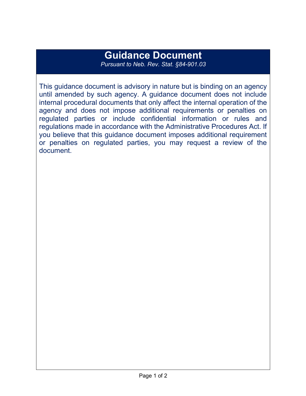# **Guidance Document**

*Pursuant to Neb. Rev. Stat. §84-901.03*

This guidance document is advisory in nature but is binding on an agency until amended by such agency. A guidance document does not include internal procedural documents that only affect the internal operation of the agency and does not impose additional requirements or penalties on regulated parties or include confidential information or rules and regulations made in accordance with the Administrative Procedures Act. If you believe that this guidance document imposes additional requirement or penalties on regulated parties, you may request a review of the document.